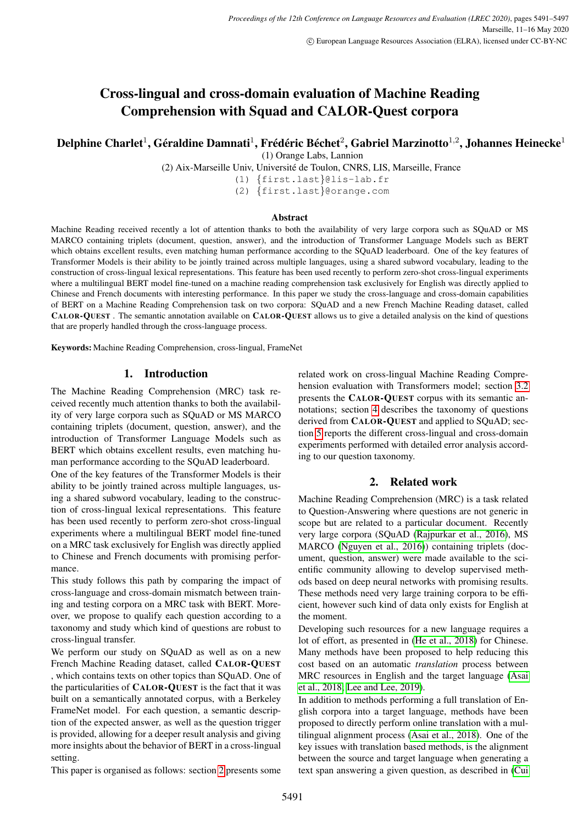# Cross-lingual and cross-domain evaluation of Machine Reading Comprehension with Squad and CALOR-Quest corpora

# Delphine Charlet $^1$ , Géraldine Damnati $^1$ , Frédéric Béchet $^2$ , Gabriel Marzinotto $^{1,2}$ , Johannes Heinecke $^1$

(1) Orange Labs, Lannion

(2) Aix-Marseille Univ, Universite de Toulon, CNRS, LIS, Marseille, France ´

(1) {first.last}@lis-lab.fr

(2) {first.last}@orange.com

#### Abstract

Machine Reading received recently a lot of attention thanks to both the availability of very large corpora such as SQuAD or MS MARCO containing triplets (document, question, answer), and the introduction of Transformer Language Models such as BERT which obtains excellent results, even matching human performance according to the SQuAD leaderboard. One of the key features of Transformer Models is their ability to be jointly trained across multiple languages, using a shared subword vocabulary, leading to the construction of cross-lingual lexical representations. This feature has been used recently to perform zero-shot cross-lingual experiments where a multilingual BERT model fine-tuned on a machine reading comprehension task exclusively for English was directly applied to Chinese and French documents with interesting performance. In this paper we study the cross-language and cross-domain capabilities of BERT on a Machine Reading Comprehension task on two corpora: SQuAD and a new French Machine Reading dataset, called CALOR-QUEST . The semantic annotation available on CALOR-QUEST allows us to give a detailed analysis on the kind of questions that are properly handled through the cross-language process.

Keywords: Machine Reading Comprehension, cross-lingual, FrameNet

#### 1. Introduction

The Machine Reading Comprehension (MRC) task received recently much attention thanks to both the availability of very large corpora such as SQuAD or MS MARCO containing triplets (document, question, answer), and the introduction of Transformer Language Models such as BERT which obtains excellent results, even matching human performance according to the SQuAD leaderboard.

One of the key features of the Transformer Models is their ability to be jointly trained across multiple languages, using a shared subword vocabulary, leading to the construction of cross-lingual lexical representations. This feature has been used recently to perform zero-shot cross-lingual experiments where a multilingual BERT model fine-tuned on a MRC task exclusively for English was directly applied to Chinese and French documents with promising performance.

This study follows this path by comparing the impact of cross-language and cross-domain mismatch between training and testing corpora on a MRC task with BERT. Moreover, we propose to qualify each question according to a taxonomy and study which kind of questions are robust to cross-lingual transfer.

We perform our study on SQuAD as well as on a new French Machine Reading dataset, called CALOR-QUEST , which contains texts on other topics than SQuAD. One of the particularities of CALOR-QUEST is the fact that it was built on a semantically annotated corpus, with a Berkeley FrameNet model. For each question, a semantic description of the expected answer, as well as the question trigger is provided, allowing for a deeper result analysis and giving more insights about the behavior of BERT in a cross-lingual setting.

This paper is organised as follows: section [2](#page-0-0) presents some

related work on cross-lingual Machine Reading Comprehension evaluation with Transformers model; section [3.2](#page-1-0) presents the CALOR-QUEST corpus with its semantic annotations; section [4](#page-2-0) describes the taxonomy of questions derived from CALOR-QUEST and applied to SQuAD; section [5](#page-3-0) reports the different cross-lingual and cross-domain experiments performed with detailed error analysis according to our question taxonomy.

## 2. Related work

<span id="page-0-0"></span>Machine Reading Comprehension (MRC) is a task related to Question-Answering where questions are not generic in scope but are related to a particular document. Recently very large corpora (SQuAD [\(Rajpurkar et al., 2016\)](#page-6-0), MS MARCO [\(Nguyen et al., 2016\)](#page-6-1)) containing triplets (document, question, answer) were made available to the scientific community allowing to develop supervised methods based on deep neural networks with promising results. These methods need very large training corpora to be efficient, however such kind of data only exists for English at the moment.

Developing such resources for a new language requires a lot of effort, as presented in [\(He et al., 2018\)](#page-5-0) for Chinese. Many methods have been proposed to help reducing this cost based on an automatic *translation* process between MRC resources in English and the target language [\(Asai](#page-5-1) [et al., 2018;](#page-5-1) [Lee and Lee, 2019\)](#page-6-2).

In addition to methods performing a full translation of English corpora into a target language, methods have been proposed to directly perform online translation with a multilingual alignment process [\(Asai et al., 2018\)](#page-5-1). One of the key issues with translation based methods, is the alignment between the source and target language when generating a text span answering a given question, as described in [\(Cui](#page-5-2)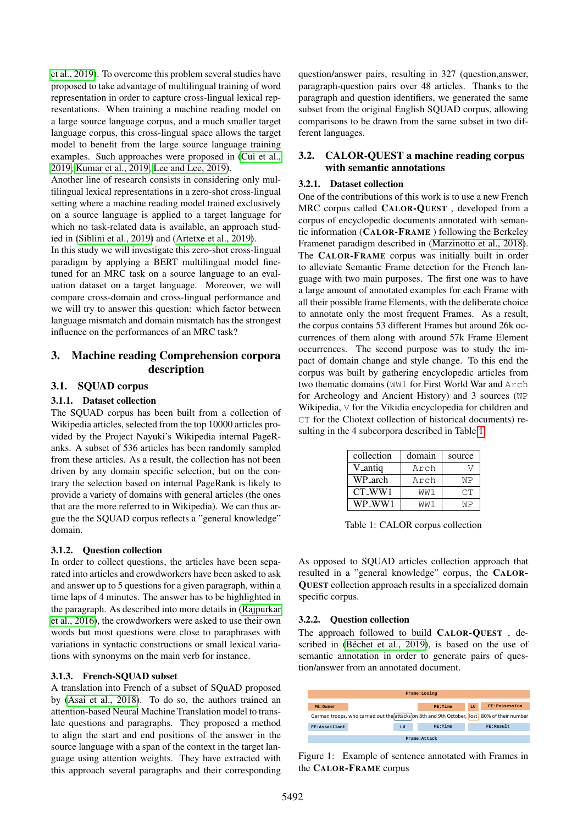[et al., 2019\)](#page-5-2). To overcome this problem several studies have proposed to take advantage of multilingual training of word representation in order to capture cross-lingual lexical representations. When training a machine reading model on a large source language corpus, and a much smaller target language corpus, this cross-lingual space allows the target model to benefit from the large source language training examples. Such approaches were proposed in [\(Cui et al.,](#page-5-2) [2019;](#page-5-2) [Kumar et al., 2019;](#page-6-3) [Lee and Lee, 2019\)](#page-6-2).

Another line of research consists in considering only multilingual lexical representations in a zero-shot cross-lingual setting where a machine reading model trained exclusively on a source language is applied to a target language for which no task-related data is available, an approach studied in [\(Siblini et al., 2019\)](#page-6-4) and [\(Artetxe et al., 2019\)](#page-5-3).

In this study we will investigate this zero-shot cross-lingual paradigm by applying a BERT multilingual model finetuned for an MRC task on a source language to an evaluation dataset on a target language. Moreover, we will compare cross-domain and cross-lingual performance and we will try to answer this question: which factor between language mismatch and domain mismatch has the strongest influence on the performances of an MRC task?

# 3. Machine reading Comprehension corpora description

### 3.1. SQUAD corpus

## 3.1.1. Dataset collection

The SQUAD corpus has been built from a collection of Wikipedia articles, selected from the top 10000 articles provided by the Project Nayuki's Wikipedia internal PageRanks. A subset of 536 articles has been randomly sampled from these articles. As a result, the collection has not been driven by any domain specific selection, but on the contrary the selection based on internal PageRank is likely to provide a variety of domains with general articles (the ones that are the more referred to in Wikipedia). We can thus argue the the SQUAD corpus reflects a "general knowledge" domain.

## 3.1.2. Question collection

In order to collect questions, the articles have been separated into articles and crowdworkers have been asked to ask and answer up to 5 questions for a given paragraph, within a time laps of 4 minutes. The answer has to be highlighted in the paragraph. As described into more details in [\(Rajpurkar](#page-6-0) [et al., 2016\)](#page-6-0), the crowdworkers were asked to use their own words but most questions were close to paraphrases with variations in syntactic constructions or small lexical variations with synonyms on the main verb for instance.

#### 3.1.3. French-SQUAD subset

A translation into French of a subset of SQuAD proposed by [\(Asai et al., 2018\)](#page-5-1). To do so, the authors trained an attention-based Neural Machine Translation model to translate questions and paragraphs. They proposed a method to align the start and end positions of the answer in the source language with a span of the context in the target language using attention weights. They have extracted with this approach several paragraphs and their corresponding question/answer pairs, resulting in 327 (question,answer, paragraph-question pairs over 48 articles. Thanks to the paragraph and question identifiers, we generated the same subset from the original English SQUAD corpus, allowing comparisons to be drawn from the same subset in two different languages.

### <span id="page-1-0"></span>3.2. CALOR-QUEST a machine reading corpus with semantic annotations

#### 3.2.1. Dataset collection

One of the contributions of this work is to use a new French MRC corpus called CALOR-QUEST , developed from a corpus of encyclopedic documents annotated with semantic information (CALOR-FRAME ) following the Berkeley Framenet paradigm described in [\(Marzinotto et al., 2018\)](#page-6-5). The CALOR-FRAME corpus was initially built in order to alleviate Semantic Frame detection for the French language with two main purposes. The first one was to have a large amount of annotated examples for each Frame with all their possible frame Elements, with the deliberate choice to annotate only the most frequent Frames. As a result, the corpus contains 53 different Frames but around 26k occurrences of them along with around 57k Frame Element occurrences. The second purpose was to study the impact of domain change and style change. To this end the corpus was built by gathering encyclopedic articles from two thematic domains (WW1 for First World War and Arch for Archeology and Ancient History) and 3 sources (WP Wikipedia, V for the Vikidia encyclopedia for children and CT for the Cliotext collection of historical documents) resulting in the 4 subcorpora described in Table [1.](#page-1-1)

| collection          | domain | source |
|---------------------|--------|--------|
| V <sub>-antiq</sub> | Arch   |        |
| WP_arch             | Arch   | ΜP     |
| CT WW1              | WW1    | CТ     |
| WP WW1              | MM 1   | ۸I D   |

<span id="page-1-1"></span>Table 1: CALOR corpus collection

As opposed to SQUAD articles collection approach that resulted in a "general knowledge" corpus, the CALOR-QUEST collection approach results in a specialized domain specific corpus.

## 3.2.2. Question collection

The approach followed to build CALOR-QUEST , described in (Béchet et al., 2019), is based on the use of semantic annotation in order to generate pairs of question/answer from an annotated document.

| Frame: Losing                                                                               |  |            |         |            |                |
|---------------------------------------------------------------------------------------------|--|------------|---------|------------|----------------|
|                                                                                             |  |            |         |            |                |
| FR: Owner                                                                                   |  |            | FR:Time | <b>LII</b> | FR: Possession |
| German troops, who carried out the attacks on 8th and 9th October, lost 80% of their number |  |            |         |            |                |
| FR:Assaillant                                                                               |  | <b>T.U</b> | FR:Time |            | FR:Result      |
|                                                                                             |  |            |         |            |                |
| Frame: Attack                                                                               |  |            |         |            |                |

<span id="page-1-2"></span>Figure 1: Example of sentence annotated with Frames in the CALOR-FRAME corpus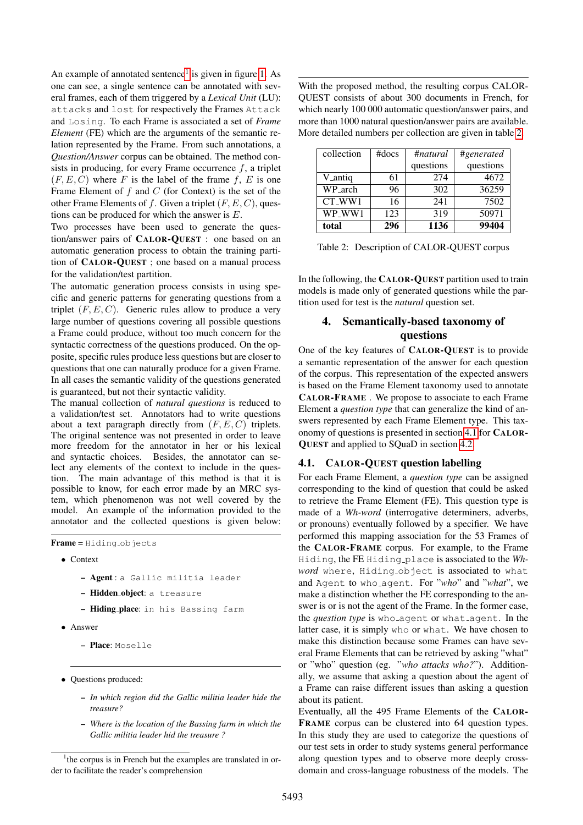An example of annotated sentence<sup>[1](#page-2-1)</sup> is given in figure [1.](#page-1-2) As one can see, a single sentence can be annotated with several frames, each of them triggered by a *Lexical Unit* (LU): attacks and lost for respectively the Frames Attack and Losing. To each Frame is associated a set of *Frame Element* (FE) which are the arguments of the semantic relation represented by the Frame. From such annotations, a *Question/Answer* corpus can be obtained. The method consists in producing, for every Frame occurrence f, a triplet  $(F, E, C)$  where F is the label of the frame f, E is one Frame Element of  $f$  and  $C$  (for Context) is the set of the other Frame Elements of f. Given a triplet  $(F, E, C)$ , questions can be produced for which the answer is  $E$ .

Two processes have been used to generate the question/answer pairs of CALOR-QUEST : one based on an automatic generation process to obtain the training partition of CALOR-QUEST ; one based on a manual process for the validation/test partition.

The automatic generation process consists in using specific and generic patterns for generating questions from a triplet  $(F, E, C)$ . Generic rules allow to produce a very large number of questions covering all possible questions a Frame could produce, without too much concern for the syntactic correctness of the questions produced. On the opposite, specific rules produce less questions but are closer to questions that one can naturally produce for a given Frame. In all cases the semantic validity of the questions generated is guaranteed, but not their syntactic validity.

The manual collection of *natural questions* is reduced to a validation/test set. Annotators had to write questions about a text paragraph directly from  $(F, E, C)$  triplets. The original sentence was not presented in order to leave more freedom for the annotator in her or his lexical and syntactic choices. Besides, the annotator can select any elements of the context to include in the question. The main advantage of this method is that it is possible to know, for each error made by an MRC system, which phenomenon was not well covered by the model. An example of the information provided to the annotator and the collected questions is given below:

Frame = Hiding objects

- Context
	- Agent : a Gallic militia leader
	- Hidden object: a treasure
	- Hiding place: in his Bassing farm
- Answer
	- Place: Moselle
- Questions produced:
	- *In which region did the Gallic militia leader hide the treasure?*
	- *Where is the location of the Bassing farm in which the Gallic militia leader hid the treasure ?*

With the proposed method, the resulting corpus CALOR-QUEST consists of about 300 documents in French, for which nearly 100 000 automatic question/answer pairs, and more than 1000 natural question/answer pairs are available. More detailed numbers per collection are given in table [2.](#page-2-2)

| collection | $#$ docs | #natural  | #generated |
|------------|----------|-----------|------------|
|            |          | questions | questions  |
| V_antiq    | 61       | 274       | 4672       |
| WP_arch    | 96       | 302       | 36259      |
| CT WW1     | 16       | 241       | 7502       |
| WP WW1     | 123      | 319       | 50971      |
| total      | 296      | 1136      | 99404      |

<span id="page-2-2"></span>Table 2: Description of CALOR-QUEST corpus

In the following, the CALOR-QUEST partition used to train models is made only of generated questions while the partition used for test is the *natural* question set.

# <span id="page-2-0"></span>4. Semantically-based taxonomy of questions

One of the key features of CALOR-QUEST is to provide a semantic representation of the answer for each question of the corpus. This representation of the expected answers is based on the Frame Element taxonomy used to annotate CALOR-FRAME . We propose to associate to each Frame Element a *question type* that can generalize the kind of answers represented by each Frame Element type. This taxonomy of questions is presented in section [4.1](#page-2-3) for CALOR-QUEST and applied to SQuaD in section [4.2.](#page-3-1)

#### <span id="page-2-3"></span>4.1. CALOR-QUEST question labelling

For each Frame Element, a *question type* can be assigned corresponding to the kind of question that could be asked to retrieve the Frame Element (FE). This question type is made of a *Wh-word* (interrogative determiners, adverbs, or pronouns) eventually followed by a specifier. We have performed this mapping association for the 53 Frames of the CALOR-FRAME corpus. For example, to the Frame Hiding, the FE Hiding place is associated to the *Wh*word where, Hiding object is associated to what and Agent to who agent. For "*who*" and "*what*", we make a distinction whether the FE corresponding to the answer is or is not the agent of the Frame. In the former case, the *question type* is who agent or what agent. In the latter case, it is simply who or what. We have chosen to make this distinction because some Frames can have several Frame Elements that can be retrieved by asking "what" or "who" question (eg. "*who attacks who?*"). Additionally, we assume that asking a question about the agent of a Frame can raise different issues than asking a question about its patient.

Eventually, all the 495 Frame Elements of the CALOR-FRAME corpus can be clustered into 64 question types. In this study they are used to categorize the questions of our test sets in order to study systems general performance along question types and to observe more deeply crossdomain and cross-language robustness of the models. The

<span id="page-2-1"></span><sup>&</sup>lt;sup>1</sup>the corpus is in French but the examples are translated in order to facilitate the reader's comprehension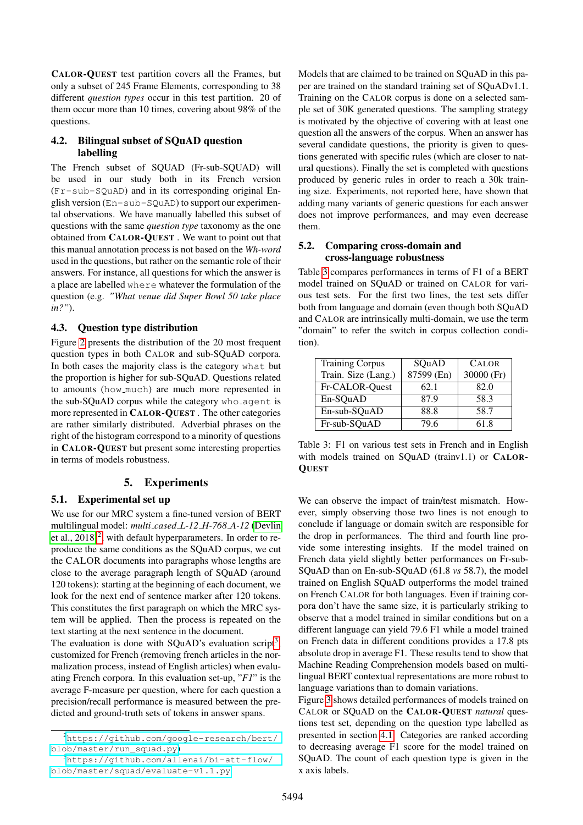CALOR-QUEST test partition covers all the Frames, but only a subset of 245 Frame Elements, corresponding to 38 different *question types* occur in this test partition. 20 of them occur more than 10 times, covering about 98% of the questions.

## <span id="page-3-1"></span>4.2. Bilingual subset of SQuAD question labelling

The French subset of SQUAD (Fr-sub-SQUAD) will be used in our study both in its French version (Fr-sub-SQuAD) and in its corresponding original English version (En-sub-SQuAD) to support our experimental observations. We have manually labelled this subset of questions with the same *question type* taxonomy as the one obtained from CALOR-QUEST . We want to point out that this manual annotation process is not based on the *Wh-word* used in the questions, but rather on the semantic role of their answers. For instance, all questions for which the answer is a place are labelled where whatever the formulation of the question (e.g. *"What venue did Super Bowl 50 take place in?"*).

## 4.3. Question type distribution

Figure [2](#page-4-0) presents the distribution of the 20 most frequent question types in both CALOR and sub-SQuAD corpora. In both cases the majority class is the category what but the proportion is higher for sub-SQuAD. Questions related to amounts (how much) are much more represented in the sub-SQuAD corpus while the category who agent is more represented in CALOR-QUEST . The other categories are rather similarly distributed. Adverbial phrases on the right of the histogram correspond to a minority of questions in CALOR-QUEST but present some interesting properties in terms of models robustness.

## 5. Experiments

## <span id="page-3-0"></span>5.1. Experimental set up

We use for our MRC system a fine-tuned version of BERT multilingual model: *multi cased L-12 H-768 A-12* [\(Devlin](#page-5-5) [et al., 2018\)](#page-5-5)<sup>[2](#page-3-2)</sup>, with default hyperparameters. In order to reproduce the same conditions as the SQuAD corpus, we cut the CALOR documents into paragraphs whose lengths are close to the average paragraph length of SQuAD (around 120 tokens): starting at the beginning of each document, we look for the next end of sentence marker after 120 tokens. This constitutes the first paragraph on which the MRC system will be applied. Then the process is repeated on the text starting at the next sentence in the document.

The evaluation is done with SQuAD's evaluation script<sup>[3](#page-3-3)</sup>, customized for French (removing french articles in the normalization process, instead of English articles) when evaluating French corpora. In this evaluation set-up, "*F1*" is the average F-measure per question, where for each question a precision/recall performance is measured between the predicted and ground-truth sets of tokens in answer spans.

Models that are claimed to be trained on SQuAD in this paper are trained on the standard training set of SQuADv1.1. Training on the CALOR corpus is done on a selected sample set of 30K generated questions. The sampling strategy is motivated by the objective of covering with at least one question all the answers of the corpus. When an answer has several candidate questions, the priority is given to questions generated with specific rules (which are closer to natural questions). Finally the set is completed with questions produced by generic rules in order to reach a 30k training size. Experiments, not reported here, have shown that adding many variants of generic questions for each answer does not improve performances, and may even decrease them.

#### 5.2. Comparing cross-domain and cross-language robustness

Table [3](#page-3-4) compares performances in terms of F1 of a BERT model trained on SQuAD or trained on CALOR for various test sets. For the first two lines, the test sets differ both from language and domain (even though both SQuAD and CALOR are intrinsically multi-domain, we use the term "domain" to refer the switch in corpus collection condition).

| <b>Training Corpus</b> | SQuAD      | <b>CALOR</b> |
|------------------------|------------|--------------|
| Train. Size (Lang.)    | 87599 (En) | 30000 (Fr)   |
| Fr-CALOR-Quest         | 62.1       | 82.0         |
| En-SQuAD               | 87.9       | 58.3         |
| En-sub-SQuAD           | 88.8       | 58.7         |
| Fr-sub-SQuAD           | 79.6       | 61.8         |

<span id="page-3-4"></span>Table 3: F1 on various test sets in French and in English with models trained on SQuAD (trainv1.1) or CALOR-**QUEST** 

We can observe the impact of train/test mismatch. However, simply observing those two lines is not enough to conclude if language or domain switch are responsible for the drop in performances. The third and fourth line provide some interesting insights. If the model trained on French data yield slightly better performances on Fr-sub-SQuAD than on En-sub-SQuAD (61.8 *vs* 58.7), the model trained on English SQuAD outperforms the model trained on French CALOR for both languages. Even if training corpora don't have the same size, it is particularly striking to observe that a model trained in similar conditions but on a different language can yield 79.6 F1 while a model trained on French data in different conditions provides a 17.8 pts absolute drop in average F1. These results tend to show that Machine Reading Comprehension models based on multilingual BERT contextual representations are more robust to language variations than to domain variations.

Figure [3](#page-4-1) shows detailed performances of models trained on CALOR or SQuAD on the CALOR-QUEST *natural* questions test set, depending on the question type labelled as presented in section [4.1.](#page-2-3) Categories are ranked according to decreasing average F1 score for the model trained on SQuAD. The count of each question type is given in the x axis labels.

<span id="page-3-2"></span><sup>2</sup>[https://github.com/google-research/bert/](https://github.com/google-research/bert/blob/master/run_squad.py) [blob/master/run\\_squad.py](https://github.com/google-research/bert/blob/master/run_squad.py))

<span id="page-3-3"></span><sup>3</sup>[https://github.com/allenai/bi-att-flow/](https://github.com/allenai/bi-att-flow/blob/master/squad/evaluate-v1.1.py) [blob/master/squad/evaluate-v1.1.py](https://github.com/allenai/bi-att-flow/blob/master/squad/evaluate-v1.1.py)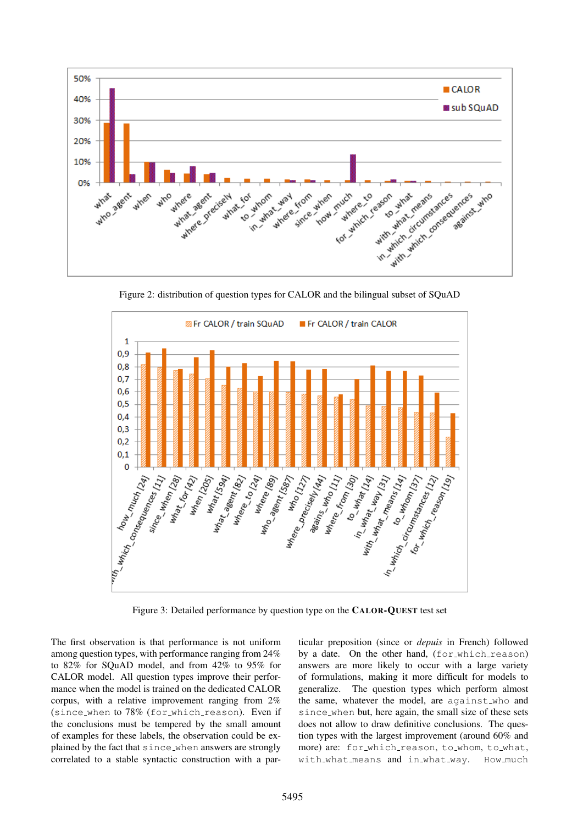

<span id="page-4-0"></span>Figure 2: distribution of question types for CALOR and the bilingual subset of SQuAD



<span id="page-4-1"></span>Figure 3: Detailed performance by question type on the CALOR-QUEST test set

The first observation is that performance is not uniform among question types, with performance ranging from 24% to 82% for SQuAD model, and from 42% to 95% for CALOR model. All question types improve their performance when the model is trained on the dedicated CALOR corpus, with a relative improvement ranging from 2% (since when to 78% (for which reason). Even if the conclusions must be tempered by the small amount of examples for these labels, the observation could be explained by the fact that since when answers are strongly correlated to a stable syntactic construction with a particular preposition (since or *depuis* in French) followed by a date. On the other hand, (for which reason) answers are more likely to occur with a large variety of formulations, making it more difficult for models to generalize. The question types which perform almost the same, whatever the model, are against who and since\_when but, here again, the small size of these sets does not allow to draw definitive conclusions. The question types with the largest improvement (around 60% and more) are: for\_which\_reason, to\_whom, to\_what, with\_what\_means and in\_what\_way. How\_much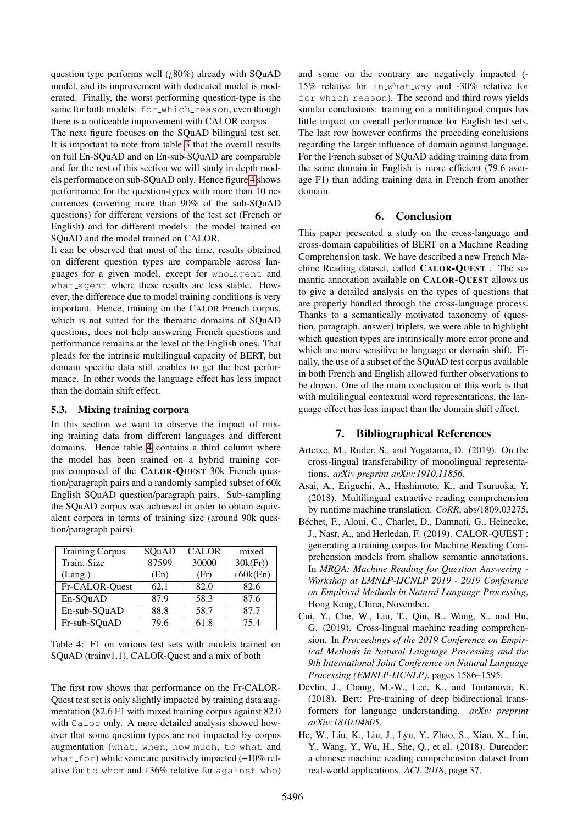question type performs well  $(.80\%)$  already with SQuAD model, and its improvement with dedicated model is moderated. Finally, the worst performing question-type is the same for both models: for which reason, even though there is a noticeable improvement with CALOR corpus.

The next figure focuses on the SQuAD bilingual test set. It is important to note from table [3](#page-3-4) that the overall results on full En-SQuAD and on En-sub-SQuAD are comparable and for the rest of this section we will study in depth models performance on sub-SQuAD only. Hence figure [4](#page-6-6) shows performance for the question-types with more than 10 occurrences (covering more than 90% of the sub-SQuAD questions) for different versions of the test set (French or English) and for different models: the model trained on SQuAD and the model trained on CALOR.

It can be observed that most of the time, results obtained on different question types are comparable across languages for a given model, except for who agent and what agent where these results are less stable. However, the difference due to model training conditions is very important. Hence, training on the CALOR French corpus, which is not suited for the thematic domains of SQuAD questions, does not help answering French questions and performance remains at the level of the English ones. That pleads for the intrinsic multilingual capacity of BERT, but domain specific data still enables to get the best performance. In other words the language effect has less impact than the domain shift effect.

### 5.3. Mixing training corpora

In this section we want to observe the impact of mixing training data from different languages and different domains. Hence table [4](#page-5-6) contains a third column where the model has been trained on a hybrid training corpus composed of the CALOR-QUEST 30k French question/paragraph pairs and a randomly sampled subset of 60k English SQuAD question/paragraph pairs. Sub-sampling the SQuAD corpus was achieved in order to obtain equivalent corpora in terms of training size (around 90k question/paragraph pairs).

| <b>Training Corpus</b> | SQuAD | <b>CALOR</b> | mixed      |
|------------------------|-------|--------------|------------|
| Train. Size            | 87599 | 30000        | 30k(Fr)    |
| (Lang.)                | (En)  | (Fr)         | $+60k(En)$ |
| Fr-CALOR-Quest         | 62.1  | 82.0         | 82.6       |
| En-SQuAD               | 87.9  | 58.3         | 87.6       |
| En-sub-SQuAD           | 88.8  | 58.7         | 87.7       |
| Fr-sub-SQuAD           | 79.6  | 61.8         | 75.4       |

<span id="page-5-6"></span>Table 4: F1 on various test sets with models trained on SQuAD (trainv1.1), CALOR-Quest and a mix of both

The first row shows that performance on the Fr-CALOR-Quest test set is only slightly impacted by training data augmentation (82.6 F1 with mixed training corpus against 82.0 with Calor only. A more detailed analysis showed however that some question types are not impacted by corpus augmentation (what, when, how much, to what and what  $f$ or) while some are positively impacted (+10% relative for to whom and +36% relative for against who) and some on the contrary are negatively impacted (- 15% relative for in what way and -30% relative for for which reason). The second and third rows yields similar conclusions: training on a multilingual corpus has little impact on overall performance for English test sets. The last row however confirms the preceding conclusions regarding the larger influence of domain against language. For the French subset of SQuAD adding training data from the same domain in English is more efficient (79.6 average F1) than adding training data in French from another domain.

### 6. Conclusion

This paper presented a study on the cross-language and cross-domain capabilities of BERT on a Machine Reading Comprehension task. We have described a new French Machine Reading dataset, called CALOR-QUEST . The semantic annotation available on CALOR-QUEST allows us to give a detailed analysis on the types of questions that are properly handled through the cross-language process. Thanks to a semantically motivated taxonomy of (question, paragraph, answer) triplets, we were able to highlight which question types are intrinsically more error prone and which are more sensitive to language or domain shift. Finally, the use of a subset of the SQuAD test corpus available in both French and English allowed further observations to be drown. One of the main conclusion of this work is that with multilingual contextual word representations, the language effect has less impact than the domain shift effect.

## 7. Bibliographical References

- <span id="page-5-3"></span>Artetxe, M., Ruder, S., and Yogatama, D. (2019). On the cross-lingual transferability of monolingual representations. *arXiv preprint arXiv:1910.11856*.
- <span id="page-5-1"></span>Asai, A., Eriguchi, A., Hashimoto, K., and Tsuruoka, Y. (2018). Multilingual extractive reading comprehension by runtime machine translation. *CoRR*, abs/1809.03275.
- <span id="page-5-4"></span>Béchet, F., Aloui, C., Charlet, D., Damnati, G., Heinecke, J., Nasr, A., and Herledan, F. (2019). CALOR-QUEST : generating a training corpus for Machine Reading Comprehension models from shallow semantic annotations. In *MRQA: Machine Reading for Question Answering - Workshop at EMNLP-IJCNLP 2019 - 2019 Conference on Empirical Methods in Natural Language Processing*, Hong Kong, China, November.
- <span id="page-5-2"></span>Cui, Y., Che, W., Liu, T., Qin, B., Wang, S., and Hu, G. (2019). Cross-lingual machine reading comprehension. In *Proceedings of the 2019 Conference on Empirical Methods in Natural Language Processing and the 9th International Joint Conference on Natural Language Processing (EMNLP-IJCNLP)*, pages 1586–1595.
- <span id="page-5-5"></span>Devlin, J., Chang, M.-W., Lee, K., and Toutanova, K. (2018). Bert: Pre-training of deep bidirectional transformers for language understanding. *arXiv preprint arXiv:1810.04805*.
- <span id="page-5-0"></span>He, W., Liu, K., Liu, J., Lyu, Y., Zhao, S., Xiao, X., Liu, Y., Wang, Y., Wu, H., She, Q., et al. (2018). Dureader: a chinese machine reading comprehension dataset from real-world applications. *ACL 2018*, page 37.